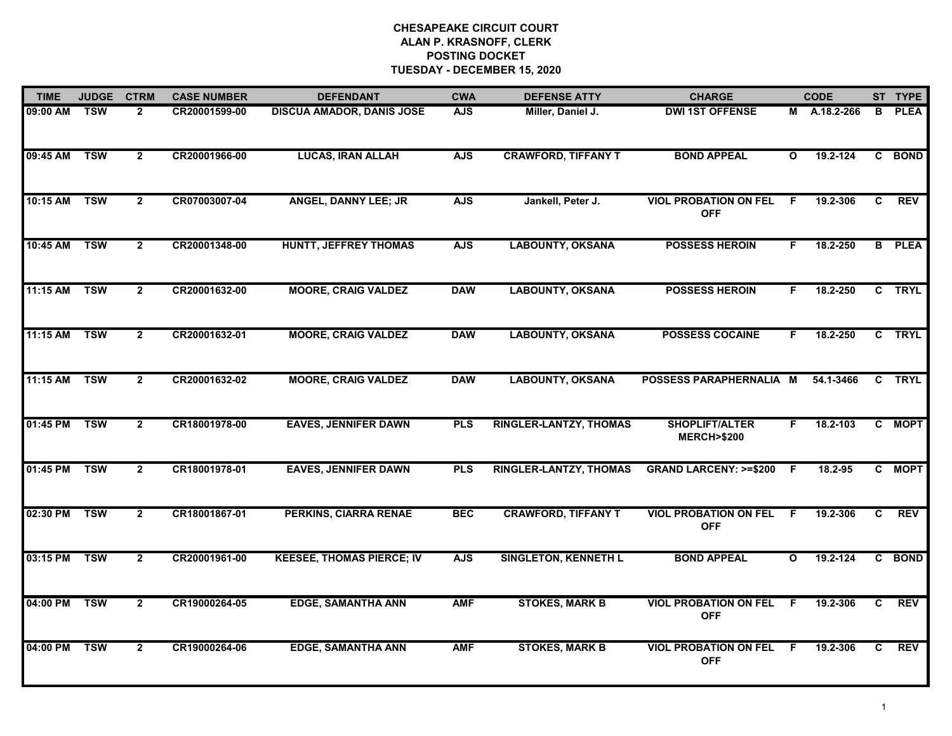| <b>TIME</b>  | <b>JUDGE</b> | <b>CTRM</b>    | <b>CASE NUMBER</b> | <b>DEFENDANT</b>                 | <b>CWA</b> | <b>DEFENSE ATTY</b>           | <b>CHARGE</b>                                  |              | <b>CODE</b>  |    | ST TYPE       |
|--------------|--------------|----------------|--------------------|----------------------------------|------------|-------------------------------|------------------------------------------------|--------------|--------------|----|---------------|
| 09:00 AM     | <b>TSW</b>   | 2              | CR20001599-00      | <b>DISCUA AMADOR, DANIS JOSE</b> | <b>AJS</b> | Miller, Daniel J.             | <b>DWI 1ST OFFENSE</b>                         |              | M A.18.2-266 | B  | <b>PLEA</b>   |
| 09:45 AM     | <b>TSW</b>   | $\overline{2}$ | CR20001966-00      | <b>LUCAS, IRAN ALLAH</b>         | <b>AJS</b> | <b>CRAWFORD, TIFFANY T</b>    | <b>BOND APPEAL</b>                             | $\mathbf{o}$ | 19.2-124     |    | C BOND        |
| 10:15 AM TSW |              | $\mathbf{2}$   | CR07003007-04      | ANGEL, DANNY LEE; JR             | <b>AJS</b> | Jankell, Peter J.             | <b>VIOL PROBATION ON FEL</b><br><b>OFF</b>     | F            | 19.2-306     | C  | <b>REV</b>    |
| 10:45 AM     | <b>TSW</b>   | $\mathbf{2}$   | CR20001348-00      | <b>HUNTT, JEFFREY THOMAS</b>     | <b>AJS</b> | <b>LABOUNTY, OKSANA</b>       | <b>POSSESS HEROIN</b>                          | F.           | 18.2-250     |    | <b>B</b> PLEA |
| 11:15 AM     | <b>TSW</b>   | $\overline{2}$ | CR20001632-00      | <b>MOORE, CRAIG VALDEZ</b>       | <b>DAW</b> | <b>LABOUNTY, OKSANA</b>       | <b>POSSESS HEROIN</b>                          | F.           | 18.2-250     |    | C TRYL        |
| 11:15 AM     | <b>TSW</b>   | $\overline{2}$ | CR20001632-01      | <b>MOORE, CRAIG VALDEZ</b>       | <b>DAW</b> | <b>LABOUNTY, OKSANA</b>       | <b>POSSESS COCAINE</b>                         | F.           | 18.2-250     |    | C TRYL        |
| 11:15 AM     | <b>TSW</b>   | $\mathbf{2}$   | CR20001632-02      | <b>MOORE, CRAIG VALDEZ</b>       | <b>DAW</b> | <b>LABOUNTY, OKSANA</b>       | POSSESS PARAPHERNALIA M                        |              | 54.1-3466    |    | C TRYL        |
| 01:45 PM     | <b>TSW</b>   | $\overline{2}$ | CR18001978-00      | <b>EAVES, JENNIFER DAWN</b>      | <b>PLS</b> | RINGLER-LANTZY, THOMAS        | <b>SHOPLIFT/ALTER</b><br><b>MERCH&gt;\$200</b> | F.           | 18.2-103     |    | C MOPT        |
| 01:45 PM     | <b>TSW</b>   | $\overline{2}$ | CR18001978-01      | <b>EAVES, JENNIFER DAWN</b>      | <b>PLS</b> | <b>RINGLER-LANTZY, THOMAS</b> | <b>GRAND LARCENY: &gt;=\$200</b>               | -F           | 18.2-95      |    | C MOPT        |
| 02:30 PM     | <b>TSW</b>   | $\mathbf{2}$   | CR18001867-01      | PERKINS, CIARRA RENAE            | <b>BEC</b> | <b>CRAWFORD, TIFFANY T</b>    | <b>VIOL PROBATION ON FEL</b><br><b>OFF</b>     | F.           | 19.2-306     | C  | <b>REV</b>    |
| 03:15 PM     | <b>TSW</b>   | $\mathbf{2}$   | CR20001961-00      | <b>KEESEE, THOMAS PIERCE; IV</b> | <b>AJS</b> | <b>SINGLETON, KENNETH L</b>   | <b>BOND APPEAL</b>                             | $\mathbf{o}$ | 19.2-124     | C. | <b>BOND</b>   |
| 04:00 PM     | <b>TSW</b>   | $\overline{2}$ | CR19000264-05      | <b>EDGE, SAMANTHA ANN</b>        | <b>AMF</b> | <b>STOKES, MARK B</b>         | <b>VIOL PROBATION ON FEL</b><br><b>OFF</b>     | F.           | 19.2-306     | C. | <b>REV</b>    |
| 04:00 PM     | <b>TSW</b>   | $\mathbf{2}$   | CR19000264-06      | <b>EDGE, SAMANTHA ANN</b>        | <b>AMF</b> | <b>STOKES, MARK B</b>         | <b>VIOL PROBATION ON FEL</b><br><b>OFF</b>     | F.           | 19.2-306     | C. | <b>REV</b>    |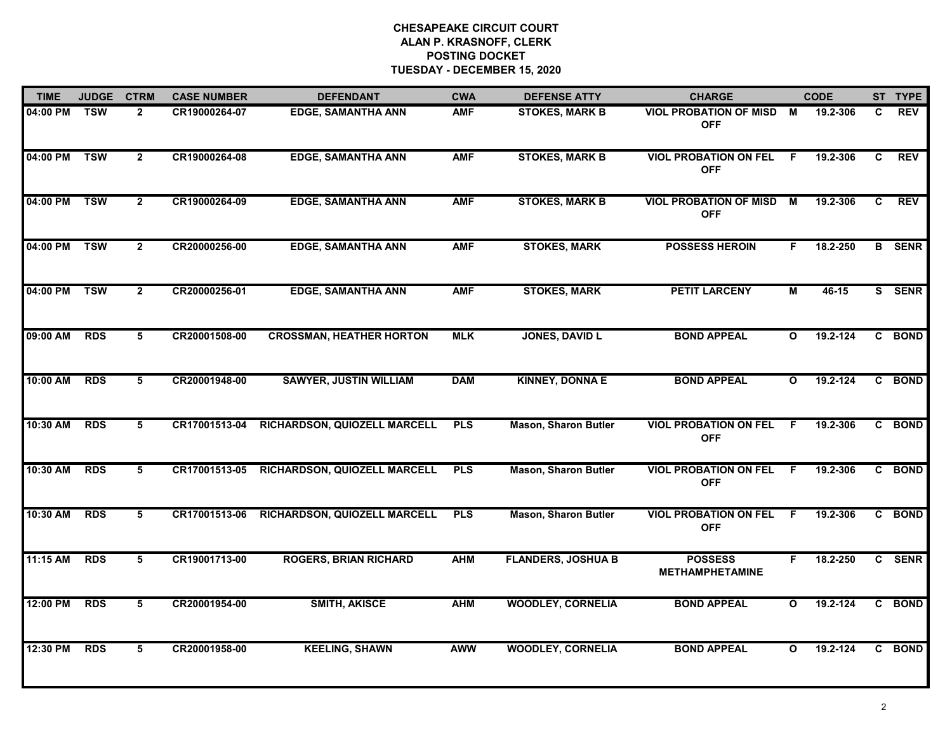| <b>TIME</b> | <b>JUDGE</b> | <b>CTRM</b>    | <b>CASE NUMBER</b> | <b>DEFENDANT</b>                | <b>CWA</b> | <b>DEFENSE ATTY</b>         | <b>CHARGE</b>                               |              | <b>CODE</b> |              | ST TYPE       |
|-------------|--------------|----------------|--------------------|---------------------------------|------------|-----------------------------|---------------------------------------------|--------------|-------------|--------------|---------------|
| 04:00 PM    | <b>TSW</b>   | $\overline{2}$ | CR19000264-07      | <b>EDGE, SAMANTHA ANN</b>       | <b>AMF</b> | <b>STOKES, MARK B</b>       | <b>VIOL PROBATION OF MISD</b><br><b>OFF</b> | M            | 19.2-306    | C            | <b>REV</b>    |
| 04:00 PM    | <b>TSW</b>   | $\overline{2}$ | CR19000264-08      | <b>EDGE, SAMANTHA ANN</b>       | <b>AMF</b> | <b>STOKES, MARK B</b>       | <b>VIOL PROBATION ON FEL</b><br><b>OFF</b>  | F.           | 19.2-306    | C            | <b>REV</b>    |
| 04:00 PM    | <b>TSW</b>   | $\overline{2}$ | CR19000264-09      | <b>EDGE, SAMANTHA ANN</b>       | <b>AMF</b> | <b>STOKES, MARK B</b>       | <b>VIOL PROBATION OF MISD</b><br><b>OFF</b> | M            | 19.2-306    | $\mathbf{C}$ | <b>REV</b>    |
| 04:00 PM    | <b>TSW</b>   | $\mathbf{2}$   | CR20000256-00      | <b>EDGE, SAMANTHA ANN</b>       | <b>AMF</b> | <b>STOKES, MARK</b>         | <b>POSSESS HEROIN</b>                       | F.           | 18.2-250    |              | <b>B</b> SENR |
| 04:00 PM    | <b>TSW</b>   | $\mathbf{2}$   | CR20000256-01      | <b>EDGE, SAMANTHA ANN</b>       | <b>AMF</b> | <b>STOKES, MARK</b>         | <b>PETIT LARCENY</b>                        | М            | 46-15       |              | S SENR        |
| 09:00 AM    | <b>RDS</b>   | 5              | CR20001508-00      | <b>CROSSMAN, HEATHER HORTON</b> | <b>MLK</b> | <b>JONES, DAVID L</b>       | <b>BOND APPEAL</b>                          | $\mathbf{o}$ | 19.2-124    |              | C BOND        |
| 10:00 AM    | <b>RDS</b>   | 5              | CR20001948-00      | <b>SAWYER, JUSTIN WILLIAM</b>   | <b>DAM</b> | <b>KINNEY, DONNA E</b>      | <b>BOND APPEAL</b>                          | $\mathbf{o}$ | 19.2-124    | $\mathbf{c}$ | <b>BOND</b>   |
| 10:30 AM    | <b>RDS</b>   | 5              | CR17001513-04      | RICHARDSON, QUIOZELL MARCELL    | <b>PLS</b> | <b>Mason, Sharon Butler</b> | <b>VIOL PROBATION ON FEL</b><br><b>OFF</b>  | F.           | 19.2-306    |              | C BOND        |
| 10:30 AM    | <b>RDS</b>   | 5              | CR17001513-05      | RICHARDSON, QUIOZELL MARCELL    | <b>PLS</b> | <b>Mason, Sharon Butler</b> | <b>VIOL PROBATION ON FEL</b><br><b>OFF</b>  | E            | 19.2-306    |              | C BOND        |
| 10:30 AM    | <b>RDS</b>   | 5              | CR17001513-06      | RICHARDSON, QUIOZELL MARCELL    | <b>PLS</b> | <b>Mason, Sharon Butler</b> | <b>VIOL PROBATION ON FEL</b><br><b>OFF</b>  | F.           | 19.2-306    |              | C BOND        |
| 11:15 AM    | <b>RDS</b>   | 5              | CR19001713-00      | <b>ROGERS, BRIAN RICHARD</b>    | <b>AHM</b> | <b>FLANDERS, JOSHUA B</b>   | <b>POSSESS</b><br><b>METHAMPHETAMINE</b>    | F.           | 18.2-250    |              | C SENR        |
| 12:00 PM    | <b>RDS</b>   | 5              | CR20001954-00      | <b>SMITH, AKISCE</b>            | <b>AHM</b> | <b>WOODLEY, CORNELIA</b>    | <b>BOND APPEAL</b>                          | O            | 19.2-124    | C            | <b>BOND</b>   |
| 12:30 PM    | <b>RDS</b>   | 5              | CR20001958-00      | <b>KEELING, SHAWN</b>           | <b>AWW</b> | <b>WOODLEY, CORNELIA</b>    | <b>BOND APPEAL</b>                          | O            | 19.2-124    |              | C BOND        |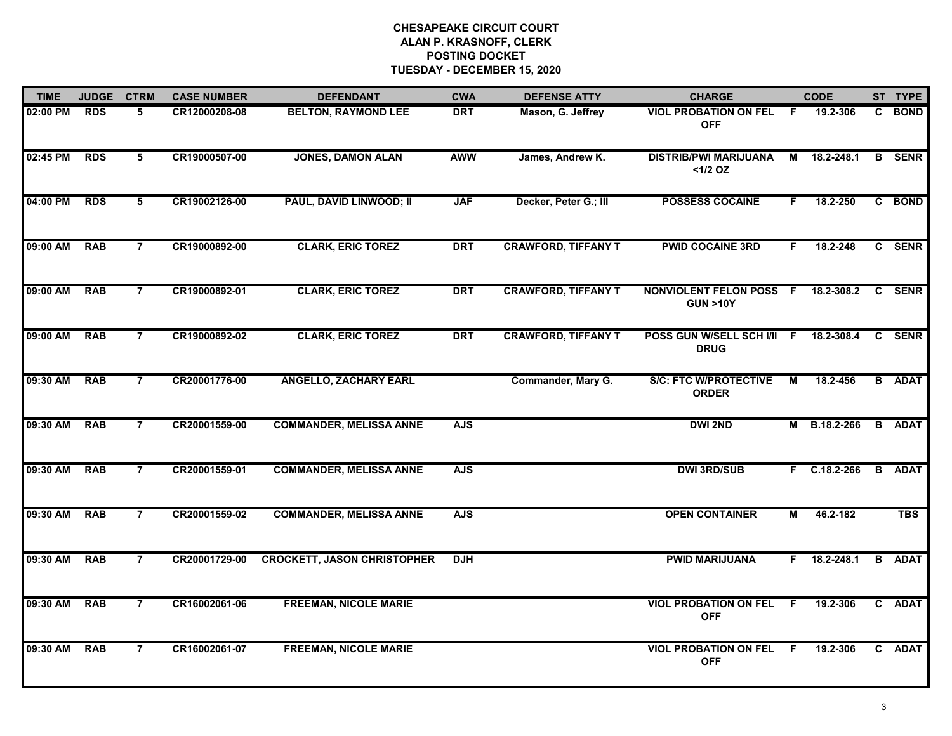| <b>TIME</b> | <b>JUDGE</b> | <b>CTRM</b>    | <b>CASE NUMBER</b> | <b>DEFENDANT</b>                   | <b>CWA</b> | <b>DEFENSE ATTY</b>        | <b>CHARGE</b>                                      |                | <b>CODE</b>    |   | ST TYPE       |
|-------------|--------------|----------------|--------------------|------------------------------------|------------|----------------------------|----------------------------------------------------|----------------|----------------|---|---------------|
| 02:00 PM    | <b>RDS</b>   | 5              | CR12000208-08      | <b>BELTON, RAYMOND LEE</b>         | <b>DRT</b> | Mason, G. Jeffrey          | <b>VIOL PROBATION ON FEL</b><br><b>OFF</b>         | F.             | 19.2-306       |   | C BOND        |
| 02:45 PM    | <b>RDS</b>   | 5              | CR19000507-00      | <b>JONES, DAMON ALAN</b>           | <b>AWW</b> | James, Andrew K.           | <b>DISTRIB/PWI MARIJUANA</b><br>$<1/2$ OZ          | М              | 18.2-248.1     |   | <b>B</b> SENR |
| 04:00 PM    | <b>RDS</b>   | 5              | CR19002126-00      | PAUL, DAVID LINWOOD; II            | <b>JAF</b> | Decker, Peter G.; III      | <b>POSSESS COCAINE</b>                             | F.             | 18.2-250       |   | C BOND        |
| 09:00 AM    | <b>RAB</b>   | 7              | CR19000892-00      | <b>CLARK, ERIC TOREZ</b>           | <b>DRT</b> | <b>CRAWFORD, TIFFANY T</b> | <b>PWID COCAINE 3RD</b>                            | F.             | 18.2-248       |   | C SENR        |
| 09:00 AM    | <b>RAB</b>   | 7              | CR19000892-01      | <b>CLARK, ERIC TOREZ</b>           | <b>DRT</b> | <b>CRAWFORD, TIFFANY T</b> | <b>NONVIOLENT FELON POSS</b><br><b>GUN &gt;10Y</b> | -F             | 18.2-308.2     | C | <b>SENR</b>   |
| 09:00 AM    | <b>RAB</b>   | $\overline{7}$ | CR19000892-02      | <b>CLARK, ERIC TOREZ</b>           | <b>DRT</b> | <b>CRAWFORD, TIFFANY T</b> | POSS GUN W/SELL SCH I/II F<br><b>DRUG</b>          |                | 18.2-308.4     | C | <b>SENR</b>   |
| 09:30 AM    | <b>RAB</b>   | $\overline{7}$ | CR20001776-00      | <b>ANGELLO, ZACHARY EARL</b>       |            | Commander, Mary G.         | <b>S/C: FTC W/PROTECTIVE</b><br><b>ORDER</b>       | $\overline{M}$ | 18.2-456       |   | <b>B</b> ADAT |
| 09:30 AM    | <b>RAB</b>   | $\overline{7}$ | CR20001559-00      | <b>COMMANDER, MELISSA ANNE</b>     | <b>AJS</b> |                            | <b>DWI 2ND</b>                                     | М              | B.18.2-266     |   | <b>B</b> ADAT |
| 09:30 AM    | <b>RAB</b>   | $\overline{7}$ | CR20001559-01      | <b>COMMANDER, MELISSA ANNE</b>     | <b>AJS</b> |                            | <b>DWI 3RD/SUB</b>                                 | F.             | $C.18.2 - 266$ |   | <b>B</b> ADAT |
| 09:30 AM    | <b>RAB</b>   | $\overline{7}$ | CR20001559-02      | <b>COMMANDER, MELISSA ANNE</b>     | <b>AJS</b> |                            | <b>OPEN CONTAINER</b>                              | M              | 46.2-182       |   | <b>TBS</b>    |
| 09:30 AM    | <b>RAB</b>   | $\overline{7}$ | CR20001729-00      | <b>CROCKETT, JASON CHRISTOPHER</b> | <b>DJH</b> |                            | <b>PWID MARIJUANA</b>                              | F.             | 18.2-248.1     |   | <b>B</b> ADAT |
| 09:30 AM    | <b>RAB</b>   | $\overline{7}$ | CR16002061-06      | <b>FREEMAN, NICOLE MARIE</b>       |            |                            | <b>VIOL PROBATION ON FEL</b><br><b>OFF</b>         | F              | 19.2-306       |   | C ADAT        |
| 09:30 AM    | <b>RAB</b>   | $\overline{7}$ | CR16002061-07      | <b>FREEMAN, NICOLE MARIE</b>       |            |                            | <b>VIOL PROBATION ON FEL</b><br><b>OFF</b>         | E              | 19.2-306       |   | C ADAT        |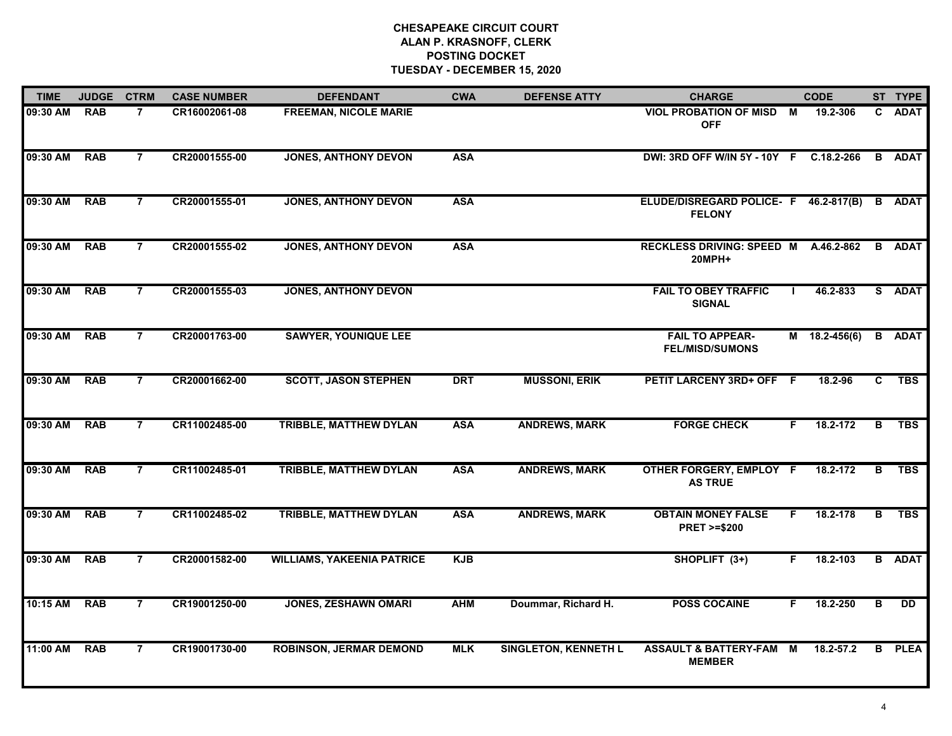| <b>TIME</b> | <b>JUDGE</b> | <b>CTRM</b>    | <b>CASE NUMBER</b> | <b>DEFENDANT</b>                  | <b>CWA</b> | <b>DEFENSE ATTY</b>         | <b>CHARGE</b>                                          |          | <b>CODE</b>     |                         | ST TYPE         |
|-------------|--------------|----------------|--------------------|-----------------------------------|------------|-----------------------------|--------------------------------------------------------|----------|-----------------|-------------------------|-----------------|
| 09:30 AM    | <b>RAB</b>   | $\overline{7}$ | CR16002061-08      | <b>FREEMAN, NICOLE MARIE</b>      |            |                             | VIOL PROBATION OF MISD M<br><b>OFF</b>                 |          | 19.2-306        |                         | C ADAT          |
| 09:30 AM    | <b>RAB</b>   | $\overline{7}$ | CR20001555-00      | <b>JONES, ANTHONY DEVON</b>       | <b>ASA</b> |                             | DWI: 3RD OFF W/IN 5Y - 10Y F C.18.2-266                |          |                 | B                       | <b>ADAT</b>     |
| 09:30 AM    | <b>RAB</b>   | $\overline{7}$ | CR20001555-01      | <b>JONES, ANTHONY DEVON</b>       | <b>ASA</b> |                             | ELUDE/DISREGARD POLICE- F 46.2-817(B)<br><b>FELONY</b> |          |                 | B                       | <b>ADAT</b>     |
| 09:30 AM    | <b>RAB</b>   | $\overline{7}$ | CR20001555-02      | <b>JONES, ANTHONY DEVON</b>       | <b>ASA</b> |                             | <b>RECKLESS DRIVING: SPEED M</b><br>20MPH+             |          | A.46.2-862      |                         | <b>B</b> ADAT   |
| 09:30 AM    | <b>RAB</b>   | $\overline{7}$ | CR20001555-03      | <b>JONES, ANTHONY DEVON</b>       |            |                             | <b>FAIL TO OBEY TRAFFIC</b><br><b>SIGNAL</b>           |          | 46.2-833        |                         | S ADAT          |
| 09:30 AM    | <b>RAB</b>   | $\overline{7}$ | CR20001763-00      | <b>SAWYER, YOUNIQUE LEE</b>       |            |                             | <b>FAIL TO APPEAR-</b><br><b>FEL/MISD/SUMONS</b>       |          | $M$ 18.2-456(6) | B                       | <b>ADAT</b>     |
| 09:30 AM    | <b>RAB</b>   | $\overline{7}$ | CR20001662-00      | <b>SCOTT, JASON STEPHEN</b>       | <b>DRT</b> | <b>MUSSONI, ERIK</b>        | PETIT LARCENY 3RD+ OFF F                               |          | 18.2-96         | C                       | <b>TBS</b>      |
| 09:30 AM    | <b>RAB</b>   | $\overline{7}$ | CR11002485-00      | <b>TRIBBLE, MATTHEW DYLAN</b>     | <b>ASA</b> | <b>ANDREWS, MARK</b>        | <b>FORGE CHECK</b>                                     | F.       | 18.2-172        | B                       | <b>TBS</b>      |
| 09:30 AM    | <b>RAB</b>   | $\overline{7}$ | CR11002485-01      | <b>TRIBBLE, MATTHEW DYLAN</b>     | <b>ASA</b> | <b>ANDREWS, MARK</b>        | <b>OTHER FORGERY, EMPLOY F</b><br><b>AS TRUE</b>       |          | 18.2-172        | в                       | <b>TBS</b>      |
| 09:30 AM    | <b>RAB</b>   | $\overline{7}$ | CR11002485-02      | TRIBBLE, MATTHEW DYLAN            | <b>ASA</b> | <b>ANDREWS, MARK</b>        | <b>OBTAIN MONEY FALSE</b><br><b>PRET &gt;=\$200</b>    | F.       | 18.2-178        | B                       | <b>TBS</b>      |
| 09:30 AM    | <b>RAB</b>   | $\overline{7}$ | CR20001582-00      | <b>WILLIAMS, YAKEENIA PATRICE</b> | <b>KJB</b> |                             | SHOPLIFT (3+)                                          | F.       | 18.2-103        | B                       | <b>ADAT</b>     |
| 10:15 AM    | <b>RAB</b>   | $\overline{7}$ | CR19001250-00      | <b>JONES, ZESHAWN OMARI</b>       | <b>AHM</b> | Doummar, Richard H.         | <b>POSS COCAINE</b>                                    | F.       | 18.2-250        | $\overline{\mathbf{B}}$ | $\overline{DD}$ |
| 11:00 AM    | <b>RAB</b>   | $\overline{7}$ | CR19001730-00      | <b>ROBINSON, JERMAR DEMOND</b>    | <b>MLK</b> | <b>SINGLETON, KENNETH L</b> | <b>ASSAULT &amp; BATTERY-FAM</b><br><b>MEMBER</b>      | <b>M</b> | 18.2-57.2       | B                       | <b>PLEA</b>     |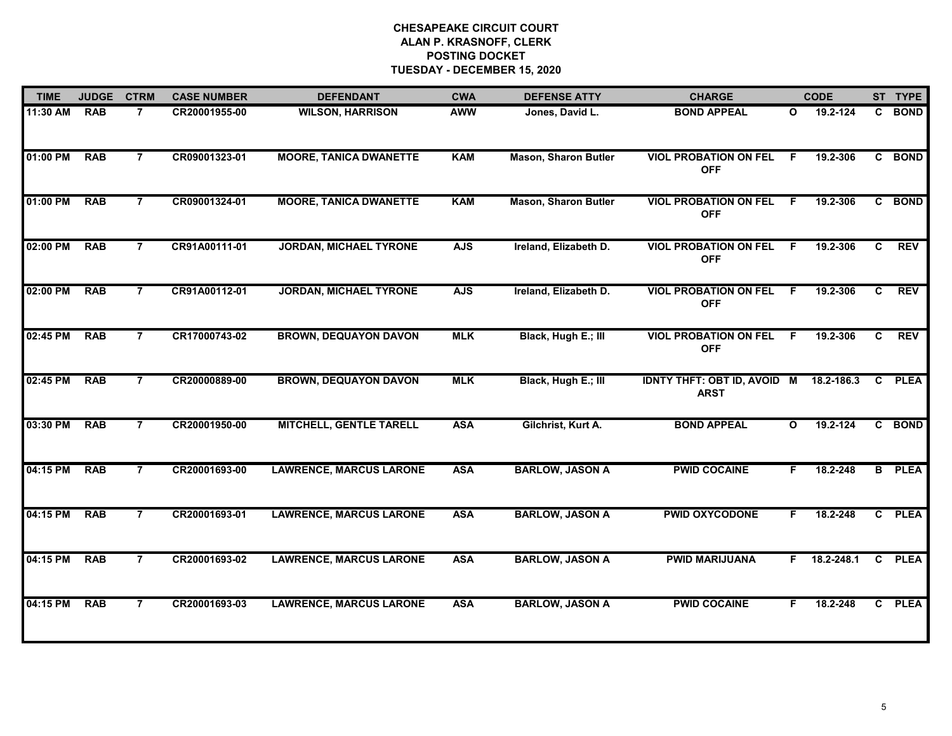| <b>TIME</b> | <b>JUDGE</b> | <b>CTRM</b>    | <b>CASE NUMBER</b> | <b>DEFENDANT</b>               | <b>CWA</b> | <b>DEFENSE ATTY</b>         | <b>CHARGE</b>                                         |              | <b>CODE</b>        |    | ST TYPE       |
|-------------|--------------|----------------|--------------------|--------------------------------|------------|-----------------------------|-------------------------------------------------------|--------------|--------------------|----|---------------|
| 11:30 AM    | <b>RAB</b>   | $\overline{7}$ | CR20001955-00      | <b>WILSON, HARRISON</b>        | <b>AWW</b> | Jones, David L.             | <b>BOND APPEAL</b>                                    | $\mathbf{o}$ | 19.2-124           |    | C BOND        |
| 01:00 PM    | <b>RAB</b>   | $\overline{7}$ | CR09001323-01      | <b>MOORE, TANICA DWANETTE</b>  | <b>KAM</b> | <b>Mason, Sharon Butler</b> | <b>VIOL PROBATION ON FEL</b><br><b>OFF</b>            | F.           | 19.2-306           |    | C BOND        |
| 01:00 PM    | <b>RAB</b>   | $\overline{7}$ | CR09001324-01      | <b>MOORE, TANICA DWANETTE</b>  | <b>KAM</b> | <b>Mason, Sharon Butler</b> | <b>VIOL PROBATION ON FEL</b><br><b>OFF</b>            | F.           | 19.2-306           |    | C BOND        |
| 02:00 PM    | <b>RAB</b>   | $\overline{7}$ | CR91A00111-01      | <b>JORDAN, MICHAEL TYRONE</b>  | <b>AJS</b> | Ireland, Elizabeth D.       | <b>VIOL PROBATION ON FEL</b><br><b>OFF</b>            | F            | 19.2-306           | C  | <b>REV</b>    |
| 02:00 PM    | <b>RAB</b>   | 7              | CR91A00112-01      | <b>JORDAN, MICHAEL TYRONE</b>  | <b>AJS</b> | Ireland, Elizabeth D.       | <b>VIOL PROBATION ON FEL</b><br><b>OFF</b>            | .F           | 19.2-306           | C. | <b>REV</b>    |
| 02:45 PM    | <b>RAB</b>   | $\overline{7}$ | CR17000743-02      | <b>BROWN, DEQUAYON DAVON</b>   | <b>MLK</b> | Black, Hugh E.; III         | <b>VIOL PROBATION ON FEL</b><br><b>OFF</b>            | F            | 19.2-306           | C. | <b>REV</b>    |
| 02:45 PM    | <b>RAB</b>   | $\overline{7}$ | CR20000889-00      | <b>BROWN, DEQUAYON DAVON</b>   | <b>MLK</b> | Black, Hugh E.; III         | IDNTY THFT: OBT ID, AVOID M 18.2-186.3<br><b>ARST</b> |              |                    |    | C PLEA        |
| 03:30 PM    | <b>RAB</b>   | $\overline{7}$ | CR20001950-00      | <b>MITCHELL, GENTLE TARELL</b> | <b>ASA</b> | Gilchrist, Kurt A.          | <b>BOND APPEAL</b>                                    | $\mathbf{o}$ | 19.2-124           |    | C BOND        |
| 04:15 PM    | <b>RAB</b>   | $\overline{7}$ | CR20001693-00      | <b>LAWRENCE, MARCUS LARONE</b> | <b>ASA</b> | <b>BARLOW, JASON A</b>      | <b>PWID COCAINE</b>                                   | F.           | 18.2-248           |    | <b>B</b> PLEA |
| 04:15 PM    | <b>RAB</b>   | $\overline{7}$ | CR20001693-01      | <b>LAWRENCE, MARCUS LARONE</b> | <b>ASA</b> | <b>BARLOW, JASON A</b>      | <b>PWID OXYCODONE</b>                                 | F.           | 18.2-248           |    | C PLEA        |
| 04:15 PM    | <b>RAB</b>   | $\overline{7}$ | CR20001693-02      | <b>LAWRENCE, MARCUS LARONE</b> | <b>ASA</b> | <b>BARLOW, JASON A</b>      | <b>PWID MARIJUANA</b>                                 |              | $F = 18.2 - 248.1$ |    | C PLEA        |
| 04:15 PM    | <b>RAB</b>   | $\overline{7}$ | CR20001693-03      | <b>LAWRENCE, MARCUS LARONE</b> | <b>ASA</b> | <b>BARLOW, JASON A</b>      | <b>PWID COCAINE</b>                                   | F.           | 18.2-248           |    | C PLEA        |